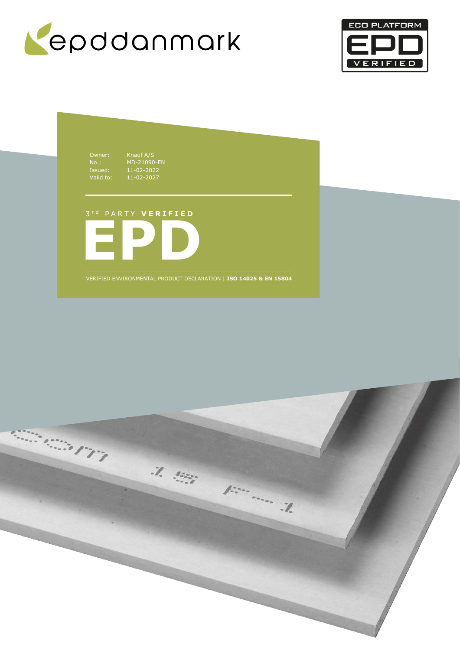



Owner: Knauf A/S No.: MD-21090-EN Issued: 11-02-2022 Valid to: 11-02-2027

**EPD** 3 r d P A R T Y **V E R I F I E D**

VERIFIED ENVIRONMENTAL PRODUCT DECLARATION | **ISO 14025 & EN 15804**

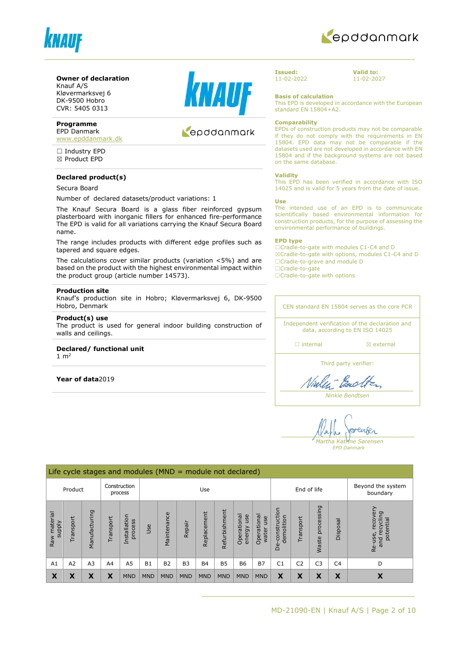



#### **Owner of declaration** Knauf A/S

Kløvermarksvej 6 DK-9500 Hobro CVR: 5405 0313

#### **Programme** EPD Danmark

[www.epddanmark.dk](http://www.epddanmark.dk/)

□ Industry EPD ☒ Product EPD

# **Declared product(s)**

#### Secura Board

Number of declared datasets/product variations: 1

The Knauf Secura Board is a glass fiber reinforced gypsum plasterboard with inorganic fillers for enhanced fire-performance The EPD is valid for all variations carrying the Knauf Secura Board name.

The range includes products with different edge profiles such as tapered and square edges.

The calculations cover similar products (variation <5%) and are based on the product with the highest environmental impact within the product group (article number 14573).

#### **Production site**

Knauf's production site in Hobro; Kløvermarksvej 6, DK-9500 Hobro, Denmark

#### **Product(s) use**

The product is used for general indoor building construction of walls and ceilings.

# **Declared/ functional unit**

1  $m<sup>2</sup>$ 

**Year of data**2019



# epddanmark

**Issued:** 11-02-2022 **Valid to:** 11-02-2027

**Basis of calculation**

This EPD is developed in accordance with the European standard EN 15804+A2.

#### **Comparability**

EPDs of construction products may not be comparable if they do not comply with the requirements in EN 15804. EPD data may not be comparable if the datasets used are not developed in accordance with EN 15804 and if the background systems are not based on the same database.

#### **Validity**

This EPD has been verified in accordance with ISO 14025 and is valid for 5 years from the date of issue.

#### **Use**

The intended use of an EPD is to communicate scientifically based environmental information for construction products, for the purpose of assessing the environmental performance of buildings.

#### **EPD type**

☐Cradle-to-gate with modules C1-C4 and D ☒Cradle-to-gate with options, modules C1-C4 and D ☐Cradle-to-grave and module D ☐Cradle-to-gate

□Cradle-to-gate with options

CEN standard EN 15804 serves as the core PCR

Independent verification of the declaration and data, according to EN ISO 14025

□ internal **a** external

Third party verifier:

Vinley - Barol

*Ninkie Bendtsen*

enser *Martha Katrine Sørensen*

*EPD Danmark*

|                                    | Life cycle stages and modules ( $MND =$ module not declared) |                |                |                         |            |             |                |             |               |                              |                             |                                 |                |                            |                |                                                         |
|------------------------------------|--------------------------------------------------------------|----------------|----------------|-------------------------|------------|-------------|----------------|-------------|---------------|------------------------------|-----------------------------|---------------------------------|----------------|----------------------------|----------------|---------------------------------------------------------|
| Construction<br>Product<br>process |                                                              |                |                | Use                     |            |             |                |             | End of life   |                              |                             | Beyond the system<br>boundary   |                |                            |                |                                                         |
| Raw material<br><b>Alddns</b>      | Transport                                                    | Manufacturing  | Transport      | Installation<br>process | Jse        | Maintenance | Repair         | Replacement | Refurbishment | Operational<br>use<br>energy | Operational<br>use<br>water | construction<br>demolition<br>å | Transport      | processing<br><b>Waste</b> | Disposal       | recove<br>פּ<br>recyclin<br>potential<br>Re-use,<br>and |
| A1                                 | A <sub>2</sub>                                               | A <sub>3</sub> | A <sub>4</sub> | A <sub>5</sub>          | <b>B1</b>  | <b>B2</b>   | B <sub>3</sub> | <b>B4</b>   | <b>B5</b>     | <b>B6</b>                    | <b>B7</b>                   | C <sub>1</sub>                  | C <sub>2</sub> | C <sub>3</sub>             | C <sub>4</sub> | D                                                       |
| X                                  | Χ                                                            | Х              | X              | <b>MND</b>              | <b>MND</b> | <b>MND</b>  | <b>MND</b>     | <b>MND</b>  | <b>MND</b>    | <b>MND</b>                   | <b>MND</b>                  | X                               | X              | X                          | X              | X                                                       |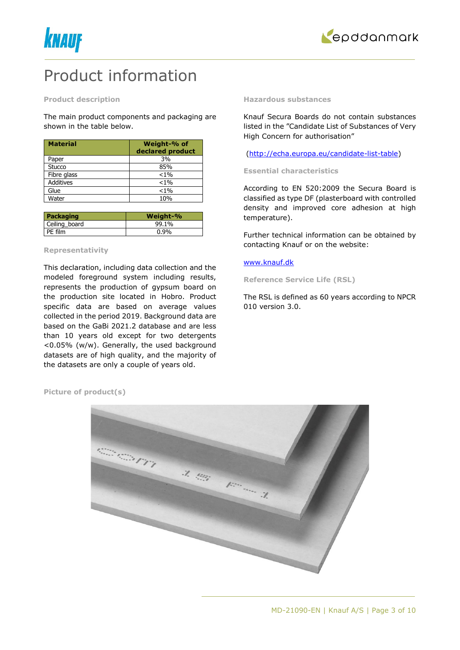



# Product information

#### **Product description**

The main product components and packaging are shown in the table below.

| <b>Material</b>  | Weight-% of<br>declared product |
|------------------|---------------------------------|
| Paper            | 3%                              |
| Stucco           | 85%                             |
| Fibre glass      | $< 1\%$                         |
| <b>Additives</b> | $< 1\%$                         |
| Glue             | $< 1\%$                         |
| Water            | 10%                             |

| Packaging     | Weight-% |
|---------------|----------|
| Ceiling board | 99.1%    |
| PE film       | $0.9\%$  |

# **Representativity**

This declaration, including data collection and the modeled foreground system including results, represents the production of gypsum board on the production site located in Hobro. Product specific data are based on average values collected in the period 2019. Background data are based on the GaBi 2021.2 database and are less than 10 years old except for two detergents <0.05% (w/w). Generally, the used background datasets are of high quality, and the majority of the datasets are only a couple of years old.

#### **Hazardous substances**

Knauf Secura Boards do not contain substances listed in the "Candidate List of Substances of Very High Concern for authorisation"

### [\(http://echa.europa.eu/candidate-list-table\)](http://echa.europa.eu/candidate-list-table)

#### **Essential characteristics**

According to EN 520:2009 the Secura Board is classified as type DF (plasterboard with controlled density and improved core adhesion at high temperature).

Further technical information can be obtained by contacting Knauf or on the website:

# [www.knauf.dk](http://www.knauf.dk/)

**Reference Service Life (RSL)**

The RSL is defined as 60 years according to NPCR 010 version 3.0.

**Picture of product(s)**

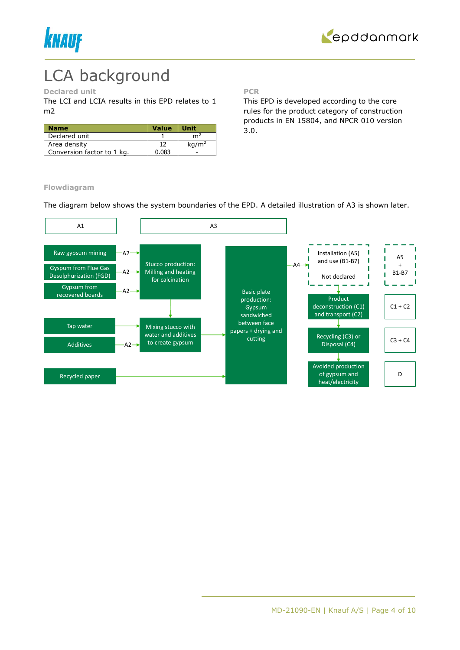



# LCA background

# **Declared unit**

The LCI and LCIA results in this EPD relates to 1 m2

| <b>Name</b>                | <b>Value</b> | <b>Unit</b>       |
|----------------------------|--------------|-------------------|
| Declared unit              |              | m <sup>2</sup>    |
| Area density               |              | ka/m <sup>2</sup> |
| Conversion factor to 1 kg. | 0.083        |                   |

**PCR**

This EPD is developed according to the core rules for the product category of construction products in EN 15804, and NPCR 010 version 3.0.

**Flowdiagram**

The diagram below shows the system boundaries of the EPD. A detailed illustration of A3 is shown later.

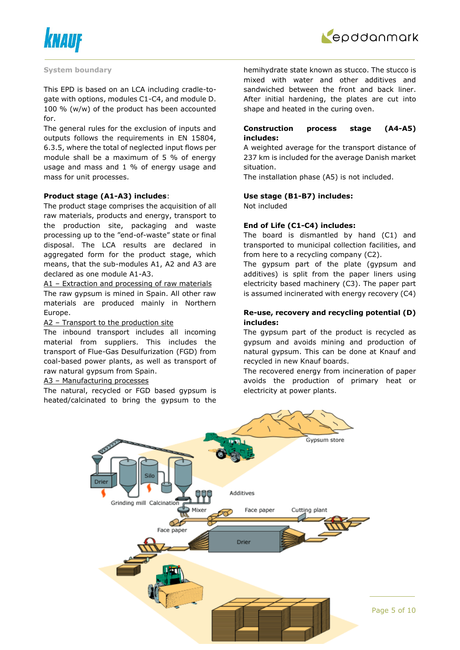



#### **System boundary**

This EPD is based on an LCA including cradle-togate with options, modules C1-C4, and module D. 100 % (w/w) of the product has been accounted for.

The general rules for the exclusion of inputs and outputs follows the requirements in EN 15804, 6.3.5, where the total of neglected input flows per module shall be a maximum of 5 % of energy usage and mass and 1 % of energy usage and mass for unit processes.

### **Product stage (A1-A3) includes**:

The product stage comprises the acquisition of all raw materials, products and energy, transport to the production site, packaging and waste processing up to the "end-of-waste" state or final disposal. The LCA results are declared in aggregated form for the product stage, which means, that the sub-modules A1, A2 and A3 are declared as one module A1-A3.

A1 – Extraction and processing of raw materials The raw gypsum is mined in Spain. All other raw materials are produced mainly in Northern Europe.

### A2 – Transport to the production site

The inbound transport includes all incoming material from suppliers. This includes the transport of Flue-Gas Desulfurization (FGD) from coal-based power plants, as well as transport of raw natural gypsum from Spain.

#### A3 – Manufacturing processes

The natural, recycled or FGD based gypsum is heated/calcinated to bring the gypsum to the hemihydrate state known as stucco. The stucco is mixed with water and other additives and sandwiched between the front and back liner. After initial hardening, the plates are cut into shape and heated in the curing oven.

# **Construction process stage (A4-A5) includes:**

A weighted average for the transport distance of 237 km is included for the average Danish market situation.

The installation phase (A5) is not included.

### **Use stage (B1-B7) includes:**

Not included

# **End of Life (C1-C4) includes:**

The board is dismantled by hand (C1) and transported to municipal collection facilities, and from here to a recycling company (C2).

The gypsum part of the plate (gypsum and additives) is split from the paper liners using electricity based machinery (C3). The paper part is assumed incinerated with energy recovery (C4)

# **Re-use, recovery and recycling potential (D) includes:**

The gypsum part of the product is recycled as gypsum and avoids mining and production of natural gypsum. This can be done at Knauf and recycled in new Knauf boards.

The recovered energy from incineration of paper avoids the production of primary heat or electricity at power plants.

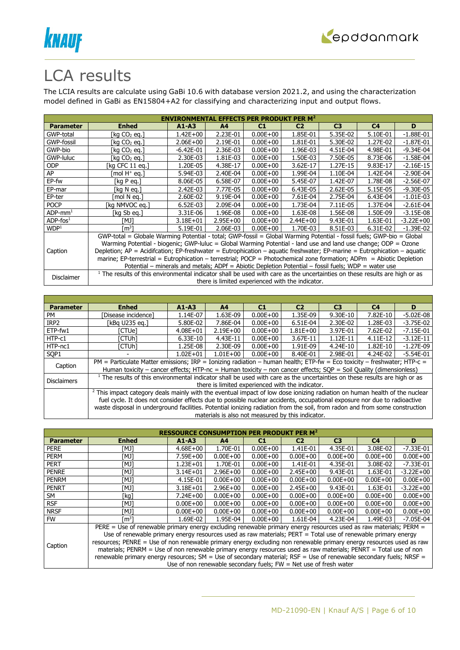



# LCA results

The LCIA results are calculate using GaBi 10.6 with database version 2021.2, and using the characterization model defined in GaBi as EN15804+A2 for classifying and characterizing input and output flows.

| <b>ENVIRONMENTAL EFFECTS PER PRODUKT PER M<sup>2</sup></b> |                                                                                                                                       |               |                |              |                                                  |                |                |               |  |  |
|------------------------------------------------------------|---------------------------------------------------------------------------------------------------------------------------------------|---------------|----------------|--------------|--------------------------------------------------|----------------|----------------|---------------|--|--|
| <b>Parameter</b>                                           | <b>Enhed</b>                                                                                                                          | $A1 - A3$     | A <sup>4</sup> | C1           | C <sub>2</sub>                                   | C <sub>3</sub> | C <sub>4</sub> | D             |  |  |
| GWP-total                                                  | [kg CO2 eg.]                                                                                                                          | $1.42E + 00$  | 2.23E-01       | $0.00E + 00$ | 1.85E-01                                         | 5.35E-02       | 5.10E-01       | $-1.88E - 01$ |  |  |
| GWP-fossil                                                 | [kg CO2 eg.]                                                                                                                          | $2.06E + 00$  | 2.19E-01       | $0.00E + 00$ | 1.81E-01                                         | 5.30E-02       | 1.27E-02       | $-1.87E - 01$ |  |  |
| GWP-bio                                                    | [kg CO2 eg.]                                                                                                                          | $-6.42E - 01$ | 2.36E-03       | $0.00E + 00$ | 1.96E-03                                         | 4.51E-04       | 4.98E-01       | $-9.34E - 04$ |  |  |
| GWP-luluc                                                  | [kg CO <sub>2</sub> eg.]                                                                                                              | 2.30E-03      | 1.81E-03       | $0.00E + 00$ | 1.50E-03                                         | 7.50E-05       | 8.73E-06       | $-1.58E-04$   |  |  |
| ODP.                                                       | [kg CFC 11 eg.]                                                                                                                       | 1.20E-05      | 4.38E-17       | $0.00E + 00$ | 3.62E-17                                         | 1.27E-15       | 9.83E-17       | $-2.16E-15$   |  |  |
| AP                                                         | [mol H+ eq.]                                                                                                                          | 5.94E-03      | 2.40E-04       | $0.00E + 00$ | 1.99E-04                                         | 1.10E-04       | 1.42E-04       | $-2.90E-04$   |  |  |
| EP-fw                                                      | [kg P eg.]                                                                                                                            | 8.06E-05      | 6.58E-07       | $0.00E + 00$ | 5.45E-07                                         | 1.42E-07       | 1.78E-08       | $-2.56E-07$   |  |  |
| EP-mar                                                     | [kg N eg.]                                                                                                                            | 2.42E-03      | 7.77E-05       | $0.00E + 00$ | 6.43E-05                                         | 2.62E-05       | 5.15E-05       | $-9.30E - 05$ |  |  |
| EP-ter                                                     | mol N ea.1                                                                                                                            | 2.60E-02      | 9.19E-04       | $0.00E + 00$ | 7.61E-04                                         | 2.75E-04       | 6.43E-04       | $-1.01E-03$   |  |  |
| <b>POCP</b>                                                | [kg NMVOC eg.]                                                                                                                        | $6.52E-03$    | 2.09E-04       | $0.00E + 00$ | 1.73E-04                                         | 7.11E-05       | 1.37E-04       | $-2.61E-04$   |  |  |
| $ADP$ -mm <sup>1</sup>                                     | [kg Sb eg.]                                                                                                                           | 3.31E-06      | 1.96E-08       | $0.00E + 00$ | 1.63E-08                                         | 1.56E-08       | 1.50E-09       | $-3.15E-08$   |  |  |
| $ADP$ -fos $1$                                             | TMJ1                                                                                                                                  | $3.18E + 01$  | $2.95E+00$     | $0.00E + 00$ | $2.44E + 00$                                     | 9.43E-01       | 1.63E-01       | $-3.22E + 00$ |  |  |
| WDP <sup>1</sup>                                           | rm31                                                                                                                                  | 5.19E-01      | 2.06E-03       | $0.00E + 00$ | 1.70E-03                                         | 8.51E-03       | 6.31E-02       | $-1.39E-02$   |  |  |
|                                                            | GWP-total = Globale Warming Potential - total; GWP-fossil = Global Warming Potential - fossil fuels; GWP-bio = Global                 |               |                |              |                                                  |                |                |               |  |  |
|                                                            | Warming Potential - biogenic; GWP-luluc = Global Warming Potential - land use and land use change; ODP = Ozone                        |               |                |              |                                                  |                |                |               |  |  |
| Caption                                                    | Depletion; $AP =$ Acidifcation; EP-freshwater = Eutrophication – aquatic freshwater; EP-marine = Eutrophication – aquatic             |               |                |              |                                                  |                |                |               |  |  |
|                                                            | marine; EP-terrestrial = Eutrophication – terrestrial; POCP = Photochemical zone formation; ADPm = Abiotic Depletion                  |               |                |              |                                                  |                |                |               |  |  |
|                                                            | Potential - minerals and metals; ADPf = Abiotic Depletion Potential - fossil fuels; WDP = water use                                   |               |                |              |                                                  |                |                |               |  |  |
|                                                            | <sup>1</sup> The results of this environmental indicator shall be used with care as the uncertainties on these results are high or as |               |                |              |                                                  |                |                |               |  |  |
| Disclaimer                                                 |                                                                                                                                       |               |                |              | there is limited experienced with the indicator. |                |                |               |  |  |

| <b>Parameter</b>   | <b>Enhed</b>                                                                                                                                                                                                                                                                                                                                                                                     | $A1 - A3$                                                                                                                                                                                                                                    | A <sub>4</sub>                                    | C1           | C <sub>2</sub> | C <sub>3</sub> | C <sub>4</sub> | D           |
|--------------------|--------------------------------------------------------------------------------------------------------------------------------------------------------------------------------------------------------------------------------------------------------------------------------------------------------------------------------------------------------------------------------------------------|----------------------------------------------------------------------------------------------------------------------------------------------------------------------------------------------------------------------------------------------|---------------------------------------------------|--------------|----------------|----------------|----------------|-------------|
| PM                 | [Disease incidence]                                                                                                                                                                                                                                                                                                                                                                              | 1.14E-07                                                                                                                                                                                                                                     | 1.63E-09                                          | $0.00E + 00$ | 1.35E-09       | 9.30E-10       | 7.82E-10       | $-5.02E-08$ |
| IRP <sub>2</sub>   | [kBq U235 eq.]                                                                                                                                                                                                                                                                                                                                                                                   | 5.80E-02                                                                                                                                                                                                                                     | 7.86E-04                                          | $0.00E + 00$ | 6.51E-04       | 2.30E-02       | 1.28E-03       | $-3.75E-02$ |
| ETP-fw1            | [CTUe]                                                                                                                                                                                                                                                                                                                                                                                           | $4.08E + 01$                                                                                                                                                                                                                                 | $2.19E + 00$                                      | $0.00E + 00$ | $1.81E + 00$   | 3.97E-01       | 7.62E-02       | $-7.15E-01$ |
| HTP-c1             | ัCTUhl                                                                                                                                                                                                                                                                                                                                                                                           | $6.33E-10$                                                                                                                                                                                                                                   | 4.43E-11                                          | $0.00E + 00$ | 3.67E-11       | $1.12E-11$     | 4.11E-12       | $-3.12E-11$ |
| HTP-nc1            | ัCTUhl                                                                                                                                                                                                                                                                                                                                                                                           | 1.25E-08                                                                                                                                                                                                                                     | 2.30E-09                                          | $0.00E + 00$ | 1.91E-09       | 4.24E-10       | 1.82E-10       | $-1.27E-09$ |
| SOP <sub>1</sub>   |                                                                                                                                                                                                                                                                                                                                                                                                  | $1.02E + 01$                                                                                                                                                                                                                                 | $1.01E + 00$                                      | $0.00E + 00$ | 8.40E-01       | 2.98E-01       | 4.24E-02       | $-5.54E-01$ |
| Caption            |                                                                                                                                                                                                                                                                                                                                                                                                  | PM = Particulate Matter emissions; IRP = Ionizing radiation – human health; ETP-fw = Eco toxicity – freshwater; HTP-c =<br>Human toxicity – cancer effects; HTP-nc = Human toxicity – non cancer effects; SOP = Soil Quality (dimensionless) |                                                   |              |                |                |                |             |
| <b>Disclaimers</b> | $1$ The results of this environmental indicator shall be used with care as the uncertainties on these results are high or as                                                                                                                                                                                                                                                                     |                                                                                                                                                                                                                                              | there is limited experienced with the indicator.  |              |                |                |                |             |
|                    | <sup>2</sup> This impact category deals mainly with the eventual impact of low dose ionizing radiation on human health of the nuclear<br>fuel cycle. It does not consider effects due to possible nuclear accidents, occupational exposure nor due to radioactive<br>waste disposal in underground facilities. Potential ionizing radiation from the soil, from radon and from some construction |                                                                                                                                                                                                                                              |                                                   |              |                |                |                |             |
|                    |                                                                                                                                                                                                                                                                                                                                                                                                  |                                                                                                                                                                                                                                              | materials is also not measured by this indicator. |              |                |                |                |             |

| <b>RESSOURCE CONSUMPTION PER PRODUKT</b><br>PER <sub>M<sup>2</sup></sub> |                                                                                                                    |                                                                                                                     |                |              |                                                                     |                |                |               |  |  |
|--------------------------------------------------------------------------|--------------------------------------------------------------------------------------------------------------------|---------------------------------------------------------------------------------------------------------------------|----------------|--------------|---------------------------------------------------------------------|----------------|----------------|---------------|--|--|
| <b>Parameter</b>                                                         | <b>Enhed</b>                                                                                                       | $A1 - A3$                                                                                                           | A <sub>4</sub> | C1           | C <sub>2</sub>                                                      | C <sub>3</sub> | C <sub>4</sub> | D             |  |  |
| <b>PERE</b>                                                              | TMJ1                                                                                                               | $4.68E + 00$                                                                                                        | 1.70E-01       | $0.00E + 00$ | 1.41E-01                                                            | 4.35E-01       | 3.08E-02       | $-7.33E - 01$ |  |  |
| <b>PERM</b>                                                              | [MJ]                                                                                                               | 7.59E+00                                                                                                            | $0.00E + 00$   | $0.00E + 00$ | $0.00E + 00$                                                        | $0.00E + 00$   | $0.00E + 00$   | $0.00E + 00$  |  |  |
| <b>PERT</b>                                                              | [MJ]                                                                                                               | $1.23E + 01$                                                                                                        | 1.70E-01       | $0.00E + 00$ | 1.41E-01                                                            | 4.35E-01       | 3.08E-02       | $-7.33E - 01$ |  |  |
| <b>PENRE</b>                                                             | [MJ]                                                                                                               | $3.14E + 01$                                                                                                        | $2.96E + 00$   | $0.00E + 00$ | $2.45E + 00$                                                        | 9.43E-01       | 1.63E-01       | $-3.22E + 00$ |  |  |
| <b>PENRM</b>                                                             | [MJ]                                                                                                               | 4.15E-01                                                                                                            | $0.00E + 00$   | $0.00E + 00$ | $0.00E + 00$                                                        | $0.00E + 00$   | $0.00E + 00$   | $0.00E + 00$  |  |  |
| <b>PENRT</b>                                                             | TMJ1                                                                                                               | $3.18E + 01$                                                                                                        | $2.96E + 00$   | $0.00E + 00$ | $2.45E + 00$                                                        | 9.43E-01       | 1.63E-01       | $-3.22E + 00$ |  |  |
| SM                                                                       | [kg]                                                                                                               | $7.24E + 00$                                                                                                        | $0.00E + 00$   | $0.00E + 00$ | $0.00E + 00$                                                        | $0.00E + 00$   | $0.00E + 00$   | $0.00E + 00$  |  |  |
| <b>RSF</b>                                                               | [MJ]                                                                                                               | $0.00E + 00$                                                                                                        | $0.00E + 00$   | $0.00E + 00$ | $0.00E + 00$                                                        | $0.00E + 00$   | $0.00E + 00$   | $0.00E + 00$  |  |  |
| <b>NRSF</b>                                                              | [MJ]                                                                                                               | $0.00E + 00$                                                                                                        | $0.00E + 00$   | $0.00E + 00$ | $0.00E + 00$                                                        | $0.00E + 00$   | $0.00E + 00$   | $0.00E + 00$  |  |  |
| <b>FW</b>                                                                | m31                                                                                                                | 1.69E-02                                                                                                            | 1.95E-04       | $0.00E + 00$ | 1.61E-04                                                            | 4.23E-04       | 1.49E-03       | $-7.05E - 04$ |  |  |
|                                                                          | PERE = Use of renewable primary energy excluding renewable primary energy resources used as raw materials; PERM =  |                                                                                                                     |                |              |                                                                     |                |                |               |  |  |
|                                                                          | Use of renewable primary energy resources used as raw materials; PERT = Total use of renewable primary energy      |                                                                                                                     |                |              |                                                                     |                |                |               |  |  |
| Caption                                                                  |                                                                                                                    | resources; PENRE = Use of non renewable primary energy excluding non renewable primary energy resources used as raw |                |              |                                                                     |                |                |               |  |  |
|                                                                          | materials; PENRM = Use of non renewable primary energy resources used as raw materials; PENRT = Total use of non   |                                                                                                                     |                |              |                                                                     |                |                |               |  |  |
|                                                                          | renewable primary energy resources; SM = Use of secondary material; RSF = Use of renewable secondary fuels; NRSF = |                                                                                                                     |                |              |                                                                     |                |                |               |  |  |
|                                                                          |                                                                                                                    |                                                                                                                     |                |              | Use of non renewable secondary fuels; $FW = Net$ use of fresh water |                |                |               |  |  |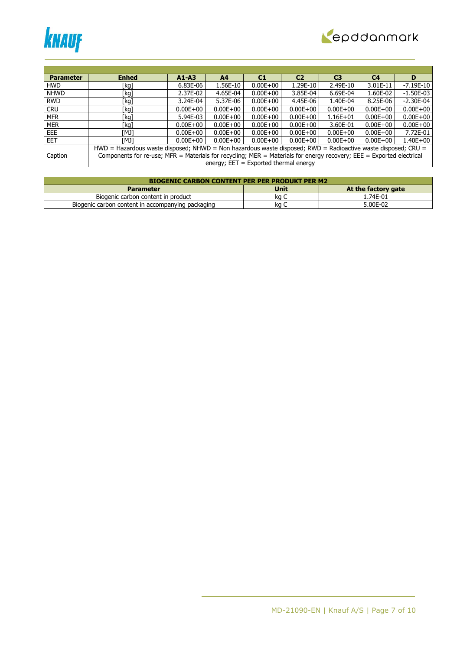



| <b>Parameter</b> | <b>Enhed</b>                                                                                                         | $A1 - A3$                                                                                                    | A4                                      | C1           | C <sub>2</sub> | C <sub>3</sub> | C <sub>4</sub> | D            |  |  |  |
|------------------|----------------------------------------------------------------------------------------------------------------------|--------------------------------------------------------------------------------------------------------------|-----------------------------------------|--------------|----------------|----------------|----------------|--------------|--|--|--|
| <b>HWD</b>       | [kg]                                                                                                                 | 6.83E-06                                                                                                     | 1.56E-10                                | $0.00E + 00$ | 1.29E-10       | 2.49E-10       | 3.01E-11       | $-7.19E-10$  |  |  |  |
| <b>NHWD</b>      | [kg]                                                                                                                 | 2.37E-02                                                                                                     | 4.65E-04                                | $0.00E + 00$ | 3.85E-04       | 6.69E-04       | 1.60E-02       | $-1.50E-03$  |  |  |  |
| <b>RWD</b>       | [kg]                                                                                                                 | 3.24E-04                                                                                                     | 5.37E-06                                | $0.00E + 00$ | 4.45E-06       | 1.40E-04       | 8.25E-06       | $-2.30E-04$  |  |  |  |
| <b>CRU</b>       | [kg]                                                                                                                 | $0.00E + 00$                                                                                                 | $0.00E + 00$                            | $0.00E + 00$ | $0.00E + 00$   | $0.00E + 00$   | $0.00E + 00$   | $0.00E + 00$ |  |  |  |
| <b>MFR</b>       | [kg]                                                                                                                 | 5.94E-03                                                                                                     | $0.00E + 00$                            | $0.00E + 00$ | $0.00E + 00$   | $1.16E + 01$   | $0.00E + 00$   | $0.00E + 00$ |  |  |  |
| <b>MER</b>       | [kg]                                                                                                                 | $0.00E + 00$                                                                                                 | $0.00E + 00$                            | $0.00E + 00$ | $0.00E + 00$   | 3.60E-01       | $0.00E + 00$   | $0.00E + 00$ |  |  |  |
| EEE.             | TMJ1                                                                                                                 | $0.00E + 00$                                                                                                 | $0.00E + 00$                            | $0.00E + 00$ | $0.00E + 00$   | $0.00E + 00$   | $0.00E + 00$   | 7.72E-01     |  |  |  |
| <b>EET</b>       | [MJ]                                                                                                                 | $0.00E + 00$                                                                                                 | $0.00E + 00$                            | $0.00E + 00$ | $0.00E + 00$   | $0.00E + 00$   | $0.00E + 00$   | $1.40E + 00$ |  |  |  |
|                  |                                                                                                                      | HWD = Hazardous waste disposed; NHWD = Non hazardous waste disposed; RWD = Radioactive waste disposed; CRU = |                                         |              |                |                |                |              |  |  |  |
| Caption          | Components for re-use; MFR = Materials for recycling; MER = Materials for energy recovery; EEE = Exported electrical |                                                                                                              |                                         |              |                |                |                |              |  |  |  |
|                  |                                                                                                                      |                                                                                                              | energy; $EET = Exported thermal energy$ |              |                |                |                |              |  |  |  |

| <b>BIOGENIC CARBON CONTENT PER PER PRODUKT PER M2</b> |             |                     |  |  |  |  |  |  |
|-------------------------------------------------------|-------------|---------------------|--|--|--|--|--|--|
| <b>Parameter</b>                                      | <b>Unit</b> | At the factory gate |  |  |  |  |  |  |
| Biogenic carbon content in product                    | ka C        | 1.74E-01            |  |  |  |  |  |  |
| Biogenic carbon content in accompanying packaging     | ka          | 5.00E-02            |  |  |  |  |  |  |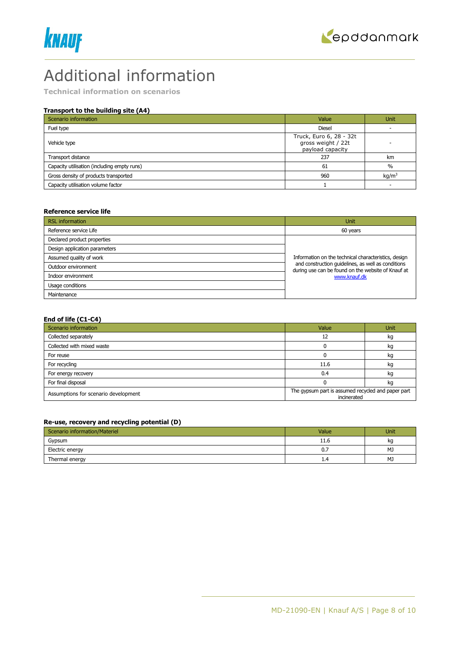



# Additional information

**Technical information on scenarios**

# **Transport to the building site (A4)**

| Scenario information                        | Value                                                             | <b>Unit</b>       |
|---------------------------------------------|-------------------------------------------------------------------|-------------------|
| Fuel type                                   | <b>Diesel</b>                                                     |                   |
| Vehicle type                                | Truck, Euro 6, 28 - 32t<br>gross weight / 22t<br>payload capacity |                   |
| Transport distance                          | 237                                                               | km                |
| Capacity utilisation (including empty runs) | 61                                                                | $\frac{0}{0}$     |
| Gross density of products transported       | 960                                                               | kq/m <sup>3</sup> |
| Capacity utilisation volume factor          |                                                                   |                   |

### **Reference service life**

| <b>RSL</b> information        | Unit                                                                                                     |
|-------------------------------|----------------------------------------------------------------------------------------------------------|
| Reference service Life        | 60 years                                                                                                 |
| Declared product properties   |                                                                                                          |
| Design application parameters |                                                                                                          |
| Assumed quality of work       | Information on the technical characteristics, design                                                     |
| Outdoor environment           | and construction quidelines, as well as conditions<br>during use can be found on the website of Knauf at |
| Indoor environment            | www.knauf.dk                                                                                             |
| Usage conditions              |                                                                                                          |
| Maintenance                   |                                                                                                          |

# **End of life (C1-C4)**

| Scenario information                 | Value                                                             | <b>Unit</b> |
|--------------------------------------|-------------------------------------------------------------------|-------------|
| Collected separately                 |                                                                   | kg          |
| Collected with mixed waste           |                                                                   | kg          |
| For reuse                            |                                                                   | kg          |
| For recycling                        | 11.6                                                              | kg          |
| For energy recovery                  | 0.4                                                               | kg          |
| For final disposal                   |                                                                   | kg          |
| Assumptions for scenario development | The gypsum part is assumed recycled and paper part<br>incinerated |             |

# **Re-use, recovery and recycling potential (D)**

| Scenario information/Materiel | Value | <b>Unit</b> |
|-------------------------------|-------|-------------|
| Gypsum                        | 11.6  | kq          |
| Electric energy               | 0.7   | MJ          |
| Thermal energy                | 1.4   | MJ          |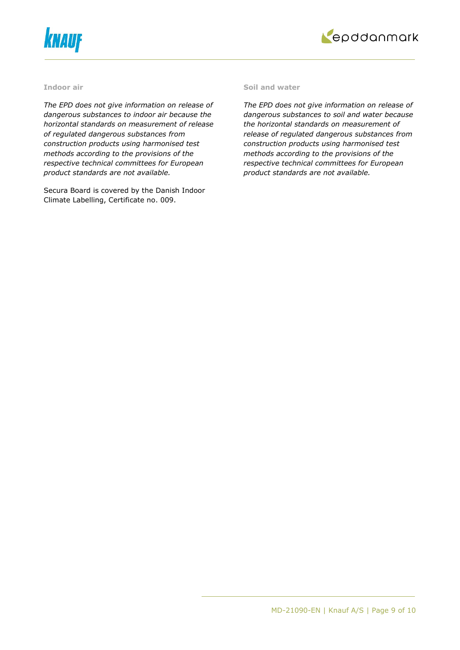



# **Indoor air**

*The EPD does not give information on release of dangerous substances to indoor air because the horizontal standards on measurement of release of regulated dangerous substances from construction products using harmonised test methods according to the provisions of the respective technical committees for European product standards are not available.*

Secura Board is covered by the Danish Indoor Climate Labelling, Certificate no. 009.

#### **Soil and water**

*The EPD does not give information on release of dangerous substances to soil and water because the horizontal standards on measurement of release of regulated dangerous substances from construction products using harmonised test methods according to the provisions of the respective technical committees for European product standards are not available.*